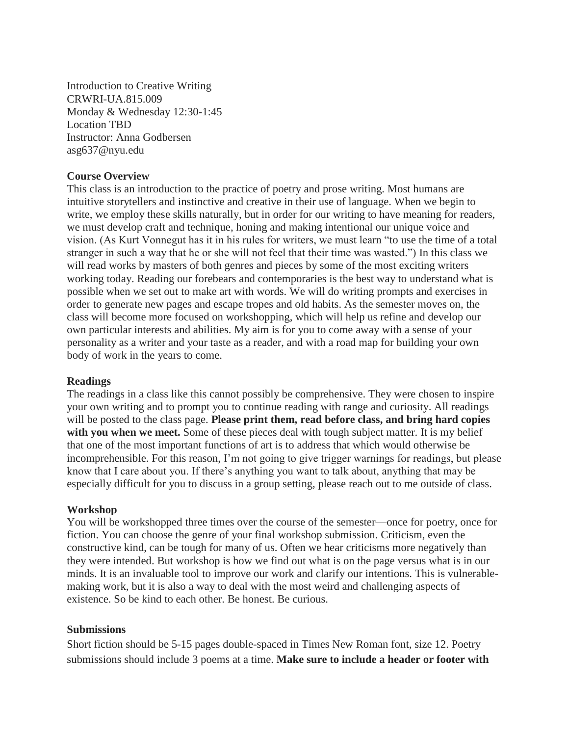Introduction to Creative Writing CRWRI-UA.815.009 Monday & Wednesday 12:30-1:45 Location TBD Instructor: Anna Godbersen asg637@nyu.edu

## **Course Overview**

This class is an introduction to the practice of poetry and prose writing. Most humans are intuitive storytellers and instinctive and creative in their use of language. When we begin to write, we employ these skills naturally, but in order for our writing to have meaning for readers, we must develop craft and technique, honing and making intentional our unique voice and vision. (As Kurt Vonnegut has it in his rules for writers, we must learn "to use the time of a total stranger in such a way that he or she will not feel that their time was wasted.") In this class we will read works by masters of both genres and pieces by some of the most exciting writers working today. Reading our forebears and contemporaries is the best way to understand what is possible when we set out to make art with words. We will do writing prompts and exercises in order to generate new pages and escape tropes and old habits. As the semester moves on, the class will become more focused on workshopping, which will help us refine and develop our own particular interests and abilities. My aim is for you to come away with a sense of your personality as a writer and your taste as a reader, and with a road map for building your own body of work in the years to come.

## **Readings**

The readings in a class like this cannot possibly be comprehensive. They were chosen to inspire your own writing and to prompt you to continue reading with range and curiosity. All readings will be posted to the class page. **Please print them, read before class, and bring hard copies**  with you when we meet. Some of these pieces deal with tough subject matter. It is my belief that one of the most important functions of art is to address that which would otherwise be incomprehensible. For this reason, I'm not going to give trigger warnings for readings, but please know that I care about you. If there's anything you want to talk about, anything that may be especially difficult for you to discuss in a group setting, please reach out to me outside of class.

## **Workshop**

You will be workshopped three times over the course of the semester—once for poetry, once for fiction. You can choose the genre of your final workshop submission. Criticism, even the constructive kind, can be tough for many of us. Often we hear criticisms more negatively than they were intended. But workshop is how we find out what is on the page versus what is in our minds. It is an invaluable tool to improve our work and clarify our intentions. This is vulnerablemaking work, but it is also a way to deal with the most weird and challenging aspects of existence. So be kind to each other. Be honest. Be curious.

## **Submissions**

Short fiction should be 5-15 pages double-spaced in Times New Roman font, size 12. Poetry submissions should include 3 poems at a time. **Make sure to include a header or footer with**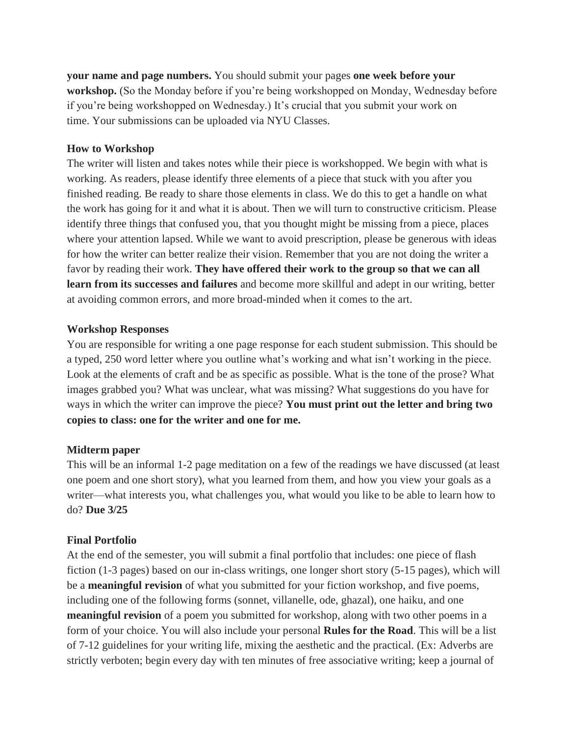**your name and page numbers.** You should submit your pages **one week before your workshop.** (So the Monday before if you're being workshopped on Monday, Wednesday before if you're being workshopped on Wednesday.) It's crucial that you submit your work on time. Your submissions can be uploaded via NYU Classes.

### **How to Workshop**

The writer will listen and takes notes while their piece is workshopped. We begin with what is working. As readers, please identify three elements of a piece that stuck with you after you finished reading. Be ready to share those elements in class. We do this to get a handle on what the work has going for it and what it is about. Then we will turn to constructive criticism. Please identify three things that confused you, that you thought might be missing from a piece, places where your attention lapsed. While we want to avoid prescription, please be generous with ideas for how the writer can better realize their vision. Remember that you are not doing the writer a favor by reading their work. **They have offered their work to the group so that we can all learn from its successes and failures** and become more skillful and adept in our writing, better at avoiding common errors, and more broad-minded when it comes to the art.

### **Workshop Responses**

You are responsible for writing a one page response for each student submission. This should be a typed, 250 word letter where you outline what's working and what isn't working in the piece. Look at the elements of craft and be as specific as possible. What is the tone of the prose? What images grabbed you? What was unclear, what was missing? What suggestions do you have for ways in which the writer can improve the piece? **You must print out the letter and bring two copies to class: one for the writer and one for me.**

## **Midterm paper**

This will be an informal 1-2 page meditation on a few of the readings we have discussed (at least one poem and one short story), what you learned from them, and how you view your goals as a writer—what interests you, what challenges you, what would you like to be able to learn how to do? **Due 3/25**

## **Final Portfolio**

At the end of the semester, you will submit a final portfolio that includes: one piece of flash fiction (1-3 pages) based on our in-class writings, one longer short story (5-15 pages), which will be a **meaningful revision** of what you submitted for your fiction workshop, and five poems, including one of the following forms (sonnet, villanelle, ode, ghazal), one haiku, and one **meaningful revision** of a poem you submitted for workshop, along with two other poems in a form of your choice. You will also include your personal **Rules for the Road**. This will be a list of 7-12 guidelines for your writing life, mixing the aesthetic and the practical. (Ex: Adverbs are strictly verboten; begin every day with ten minutes of free associative writing; keep a journal of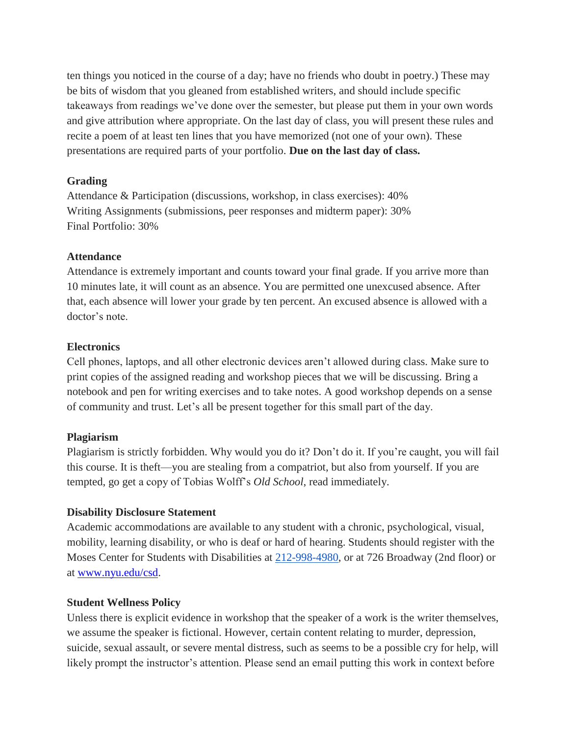ten things you noticed in the course of a day; have no friends who doubt in poetry.) These may be bits of wisdom that you gleaned from established writers, and should include specific takeaways from readings we've done over the semester, but please put them in your own words and give attribution where appropriate. On the last day of class, you will present these rules and recite a poem of at least ten lines that you have memorized (not one of your own). These presentations are required parts of your portfolio. **Due on the last day of class.**

## **Grading**

Attendance & Participation (discussions, workshop, in class exercises): 40% Writing Assignments (submissions, peer responses and midterm paper): 30% Final Portfolio: 30%

#### **Attendance**

Attendance is extremely important and counts toward your final grade. If you arrive more than 10 minutes late, it will count as an absence. You are permitted one unexcused absence. After that, each absence will lower your grade by ten percent. An excused absence is allowed with a doctor's note.

#### **Electronics**

Cell phones, laptops, and all other electronic devices aren't allowed during class. Make sure to print copies of the assigned reading and workshop pieces that we will be discussing. Bring a notebook and pen for writing exercises and to take notes. A good workshop depends on a sense of community and trust. Let's all be present together for this small part of the day.

#### **Plagiarism**

Plagiarism is strictly forbidden. Why would you do it? Don't do it. If you're caught, you will fail this course. It is theft—you are stealing from a compatriot, but also from yourself. If you are tempted, go get a copy of Tobias Wolff's *Old School*, read immediately.

#### **Disability Disclosure Statement**

Academic accommodations are available to any student with a chronic, psychological, visual, mobility, learning disability, or who is deaf or hard of hearing. Students should register with the Moses Center for Students with Disabilities at [212-998-4980,](tel:212-998-4980) or at 726 Broadway (2nd floor) or at [www.nyu.edu/csd.](http://www.nyu.edu/csd)

#### **Student Wellness Policy**

Unless there is explicit evidence in workshop that the speaker of a work is the writer themselves, we assume the speaker is fictional. However, certain content relating to murder, depression, suicide, sexual assault, or severe mental distress, such as seems to be a possible cry for help, will likely prompt the instructor's attention. Please send an email putting this work in context before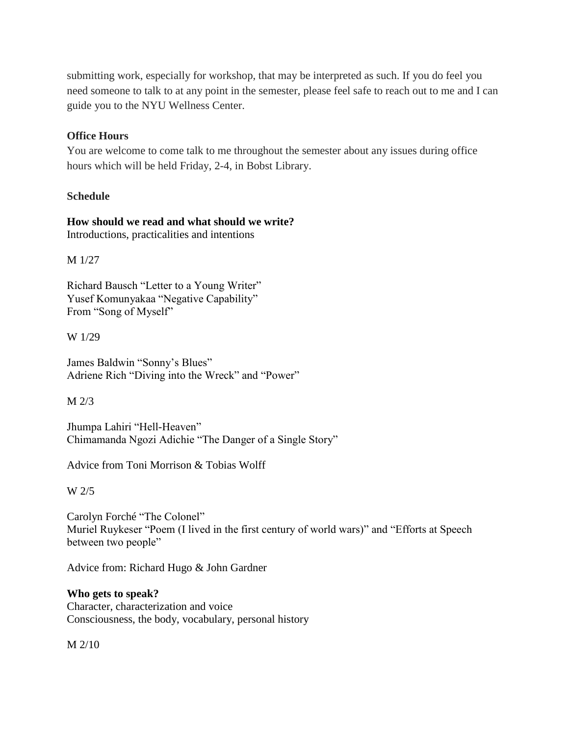submitting work, especially for workshop, that may be interpreted as such. If you do feel you need someone to talk to at any point in the semester, please feel safe to reach out to me and I can guide you to the NYU Wellness Center.

## **Office Hours**

You are welcome to come talk to me throughout the semester about any issues during office hours which will be held Friday, 2-4, in Bobst Library.

## **Schedule**

## **How should we read and what should we write?** Introductions, practicalities and intentions

M 1/27

Richard Bausch "Letter to a Young Writer" Yusef Komunyakaa "Negative Capability" From "Song of Myself"

W 1/29

James Baldwin "Sonny's Blues" Adriene Rich "Diving into the Wreck" and "Power"

M 2/3

Jhumpa Lahiri "Hell-Heaven" Chimamanda Ngozi Adichie "The Danger of a Single Story"

Advice from Toni Morrison & Tobias Wolff

W 2/5

Carolyn Forché "The Colonel" Muriel Ruykeser "Poem (I lived in the first century of world wars)" and "Efforts at Speech between two people"

Advice from: Richard Hugo & John Gardner

## **Who gets to speak?**

Character, characterization and voice Consciousness, the body, vocabulary, personal history

M 2/10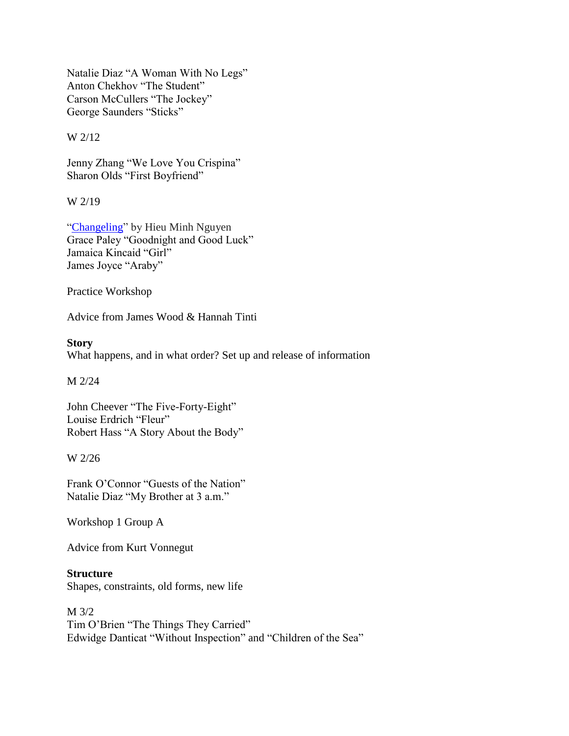Natalie Diaz "A Woman With No Legs" Anton Chekhov "The Student" Carson McCullers "The Jockey" George Saunders "Sticks"

W 2/12

Jenny Zhang "We Love You Crispina" Sharon Olds "First Boyfriend"

W 2/19

["Changeling"](https://www.poetryfoundation.org/poetrymagazine/poems/91678/changeling-5848812e490ae) by Hieu Minh Nguyen Grace Paley "Goodnight and Good Luck" Jamaica Kincaid "Girl" James Joyce "Araby"

Practice Workshop

Advice from James Wood & Hannah Tinti

**Story** What happens, and in what order? Set up and release of information

M 2/24

John Cheever "The Five-Forty-Eight" Louise Erdrich "Fleur" Robert Hass "A Story About the Body"

W 2/26

Frank O'Connor "Guests of the Nation" Natalie Diaz "My Brother at 3 a.m."

Workshop 1 Group A

Advice from Kurt Vonnegut

**Structure**

Shapes, constraints, old forms, new life

M 3/2 Tim O'Brien "The Things They Carried" Edwidge Danticat "Without Inspection" and "Children of the Sea"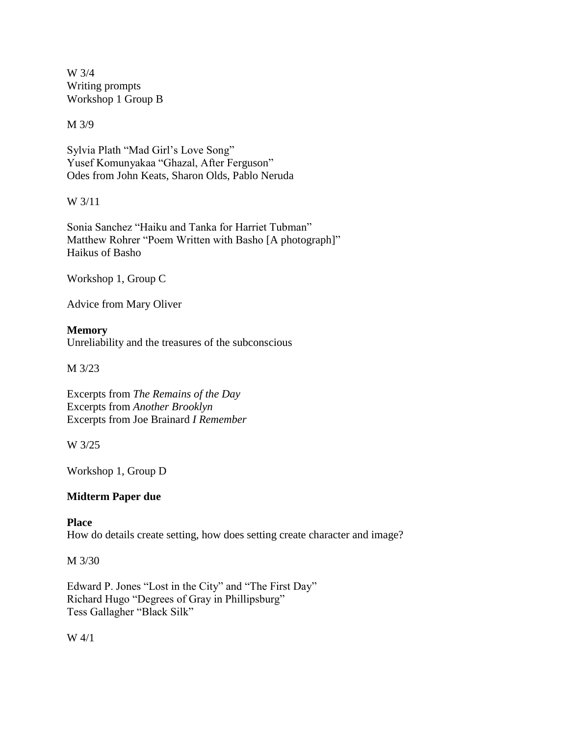W 3/4 Writing prompts Workshop 1 Group B

M 3/9

Sylvia Plath "Mad Girl's Love Song" Yusef Komunyakaa "Ghazal, After Ferguson" Odes from John Keats, Sharon Olds, Pablo Neruda

W 3/11

Sonia Sanchez "Haiku and Tanka for Harriet Tubman" Matthew Rohrer "Poem Written with Basho [A photograph]" Haikus of Basho

Workshop 1, Group C

Advice from Mary Oliver

## **Memory**

Unreliability and the treasures of the subconscious

M 3/23

Excerpts from *The Remains of the Day* Excerpts from *Another Brooklyn*  Excerpts from Joe Brainard *I Remember* 

W 3/25

Workshop 1, Group D

## **Midterm Paper due**

## **Place**

How do details create setting, how does setting create character and image?

M 3/30

Edward P. Jones "Lost in the City" and "The First Day" Richard Hugo "Degrees of Gray in Phillipsburg" Tess Gallagher "Black Silk"

W 4/1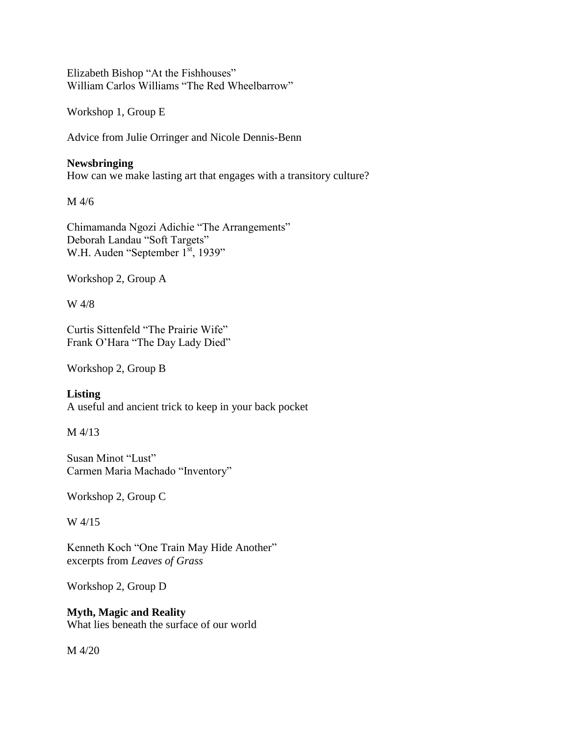Elizabeth Bishop "At the Fishhouses" William Carlos Williams "The Red Wheelbarrow"

Workshop 1, Group E

Advice from Julie Orringer and Nicole Dennis-Benn

## **Newsbringing**

How can we make lasting art that engages with a transitory culture?

M 4/6

Chimamanda Ngozi Adichie "The Arrangements" Deborah Landau "Soft Targets" W.H. Auden "September 1<sup>st</sup>, 1939"

Workshop 2, Group A

W 4/8

Curtis Sittenfeld "The Prairie Wife" Frank O'Hara "The Day Lady Died"

Workshop 2, Group B

**Listing** A useful and ancient trick to keep in your back pocket

M 4/13

Susan Minot "Lust" Carmen Maria Machado "Inventory"

Workshop 2, Group C

W 4/15

Kenneth Koch "One Train May Hide Another" excerpts from *Leaves of Grass*

Workshop 2, Group D

# **Myth, Magic and Reality**

What lies beneath the surface of our world

M 4/20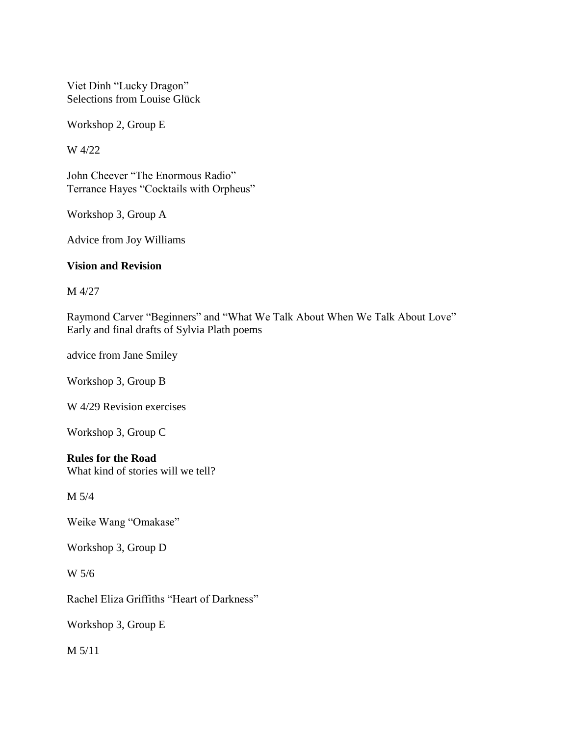Viet Dinh "Lucky Dragon" Selections from Louise Glück

Workshop 2, Group E

W 4/22

John Cheever "The Enormous Radio" Terrance Hayes "Cocktails with Orpheus"

Workshop 3, Group A

Advice from Joy Williams

## **Vision and Revision**

M 4/27

Raymond Carver "Beginners" and "What We Talk About When We Talk About Love" Early and final drafts of Sylvia Plath poems

advice from Jane Smiley

Workshop 3, Group B

W 4/29 Revision exercises

Workshop 3, Group C

## **Rules for the Road**

What kind of stories will we tell?

M 5/4

Weike Wang "Omakase"

Workshop 3, Group D

W 5/6

Rachel Eliza Griffiths "Heart of Darkness"

Workshop 3, Group E

M 5/11